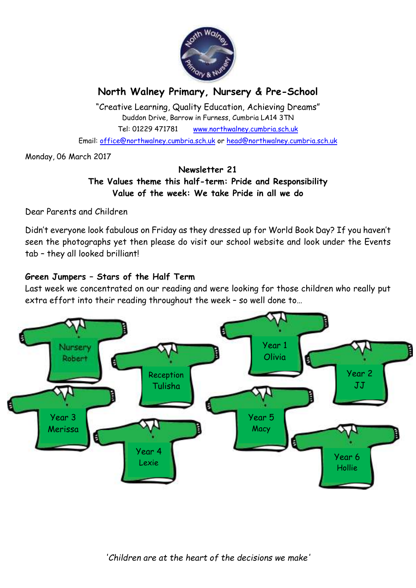

# **North Walney Primary, Nursery & Pre-School**

"Creative Learning, Quality Education, Achieving Dreams" Duddon Drive, Barrow in Furness, Cumbria LA14 3TN Tel: 01229 471781 www.northwalney.cumbria.sch.uk Email: office@northwalney.cumbria.sch.uk or head@northwalney.cumbria.sch.uk

Monday, 06 March 2017

## **Newsletter 21 The Values theme this half-term: Pride and Responsibility Value of the week: We take Pride in all we do**

Dear Parents and Children

Didn't everyone look fabulous on Friday as they dressed up for World Book Day? If you haven't seen the photographs yet then please do visit our school website and look under the Events tab – they all looked brilliant!

## **Green Jumpers – Stars of the Half Term**

Last week we concentrated on our reading and were looking for those children who really put extra effort into their reading throughout the week – so well done to…

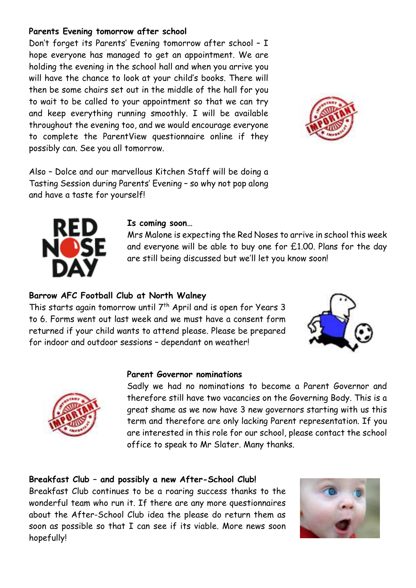## **Parents Evening tomorrow after school**

Don't forget its Parents' Evening tomorrow after school – I hope everyone has managed to get an appointment. We are holding the evening in the school hall and when you arrive you will have the chance to look at your child's books. There will then be some chairs set out in the middle of the hall for you to wait to be called to your appointment so that we can try and keep everything running smoothly. I will be available throughout the evening too, and we would encourage everyone to complete the ParentView questionnaire online if they possibly can. See you all tomorrow.



Also – Dolce and our marvellous Kitchen Staff will be doing a Tasting Session during Parents' Evening – so why not pop along and have a taste for yourself!



#### **Is coming soon…**

Mrs Malone is expecting the Red Noses to arrive in school this week and everyone will be able to buy one for £1.00. Plans for the day are still being discussed but we'll let you know soon!

## **Barrow AFC Football Club at North Walney**

This starts again tomorrow until 7<sup>th</sup> April and is open for Years 3 to 6. Forms went out last week and we must have a consent form returned if your child wants to attend please. Please be prepared for indoor and outdoor sessions – dependant on weather!





#### **Parent Governor nominations**

Sadly we had no nominations to become a Parent Governor and therefore still have two vacancies on the Governing Body. This is a great shame as we now have 3 new governors starting with us this term and therefore are only lacking Parent representation. If you are interested in this role for our school, please contact the school office to speak to Mr Slater. Many thanks.

# **Breakfast Club – and possibly a new After-School Club!**

Breakfast Club continues to be a roaring success thanks to the wonderful team who run it. If there are any more questionnaires about the After-School Club idea the please do return them as soon as possible so that I can see if its viable. More news soon hopefully!

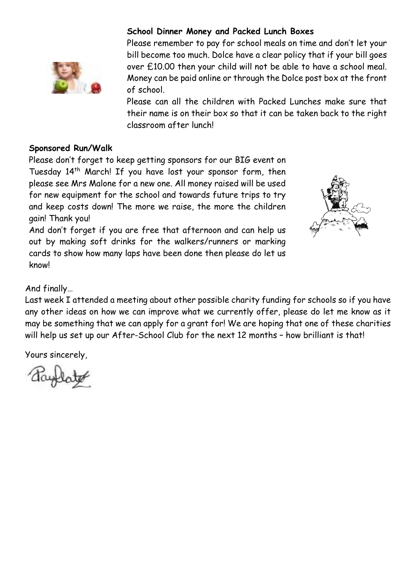

## **School Dinner Money and Packed Lunch Boxes**

Please remember to pay for school meals on time and don't let your bill become too much. Dolce have a clear policy that if your bill goes over £10.00 then your child will not be able to have a school meal. Money can be paid online or through the Dolce post box at the front of school.

Please can all the children with Packed Lunches make sure that their name is on their box so that it can be taken back to the right classroom after lunch!

## **Sponsored Run/Walk**

Please don't forget to keep getting sponsors for our BIG event on Tuesday 14<sup>th</sup> March! If you have lost your sponsor form, then please see Mrs Malone for a new one. All money raised will be used for new equipment for the school and towards future trips to try and keep costs down! The more we raise, the more the children gain! Thank you!

And don't forget if you are free that afternoon and can help us out by making soft drinks for the walkers/runners or marking cards to show how many laps have been done then please do let us know!



And finally…

Last week I attended a meeting about other possible charity funding for schools so if you have any other ideas on how we can improve what we currently offer, please do let me know as it may be something that we can apply for a grant for! We are hoping that one of these charities will help us set up our After-School Club for the next 12 months - how brilliant is that!

Yours sincerely,